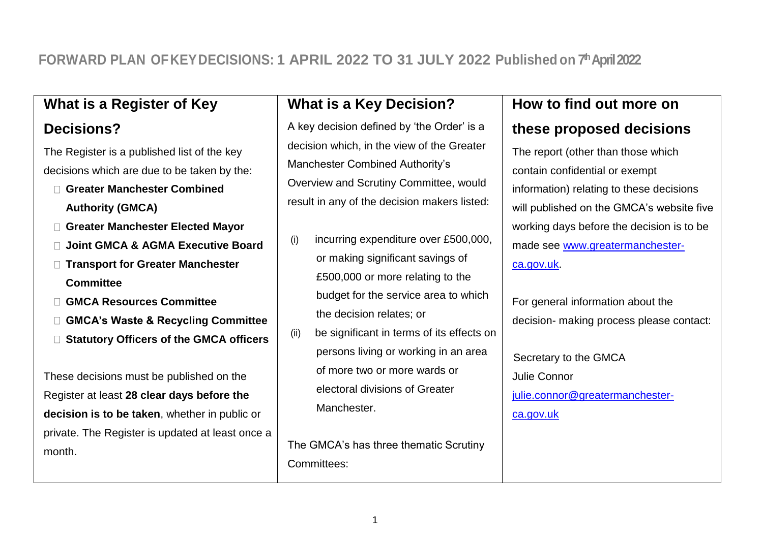# **FORWARD PLAN OFKEYDECISIONS: 1 APRIL 2022 TO 31 JULY 2022 Published on 7 thApril 2022**

### **What is a Register of Key**

#### **Decisions?**

The Register is a published list of the key decisions which are due to be taken by the:

- **Greater Manchester Combined Authority (GMCA)**
- **Greater Manchester Elected Mayor**
- **Joint GMCA & AGMA Executive Board**
- **Transport for Greater Manchester Committee**
- **GMCA Resources Committee**
- **GMCA's Waste & Recycling Committee**
- **Statutory Officers of the GMCA officers**

These decisions must be published on the Register at least **28 clear days before the decision is to be taken**, whether in public or private. The Register is updated at least once a month.

## **What is a Key Decision?**

A key decision defined by 'the Order' is a decision which, in the view of the Greater Manchester Combined Authority's Overview and Scrutiny Committee, would result in any of the decision makers listed:

- $(i)$  incurring expenditure over £500,000, or making significant savings of £500,000 or more relating to the budget for the service area to which the decision relates; or
- (ii) be significant in terms of its effects on persons living or working in an area of more two or more wards or electoral divisions of Greater Manchester.

The GMCA's has three thematic Scrutiny Committees:

### **How to find out more on**

#### **these proposed decisions**

The report (other than those which contain confidential or exempt information) relating to these decisions will published on the GMCA's website five working days before the decision is to be made see [www.greatermanchester](http://www.greatermanchester-ca.gov.uk/)[ca.gov.uk.](http://www.greatermanchester-ca.gov.uk/)

For general information about the decision- making process please contact:

 Secretary to the GMCA Julie Connor [julie.connor@greatermanchester](mailto:julie.connor@greatermanchester-ca.gov.uk)[ca.gov.uk](mailto:julie.connor@greatermanchester-ca.gov.uk)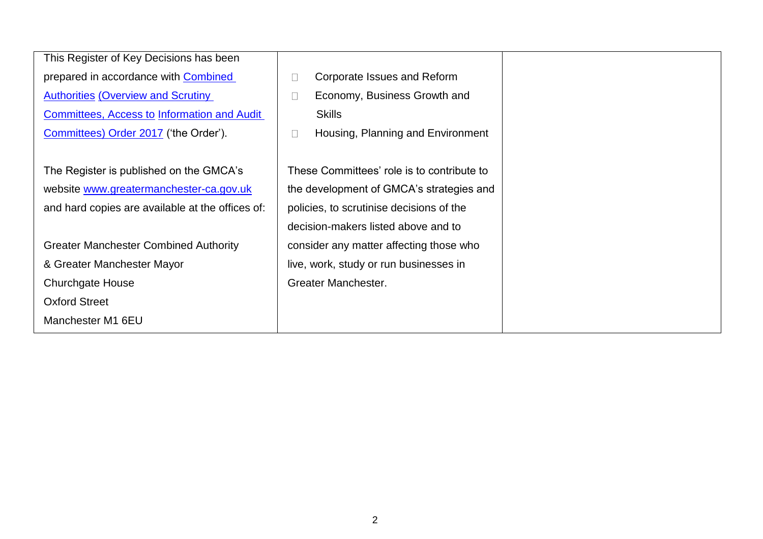| This Register of Key Decisions has been            |                                            |
|----------------------------------------------------|--------------------------------------------|
| prepared in accordance with Combined               | Corporate Issues and Reform<br>П           |
| <b>Authorities (Overview and Scrutiny)</b>         | Economy, Business Growth and<br>$\Box$     |
| <b>Committees, Access to Information and Audit</b> | <b>Skills</b>                              |
| Committees) Order 2017 ('the Order').              | Housing, Planning and Environment<br>П     |
|                                                    |                                            |
| The Register is published on the GMCA's            | These Committees' role is to contribute to |
| website www.greatermanchester-ca.gov.uk            | the development of GMCA's strategies and   |
| and hard copies are available at the offices of:   | policies, to scrutinise decisions of the   |
|                                                    | decision-makers listed above and to        |
| <b>Greater Manchester Combined Authority</b>       | consider any matter affecting those who    |
| & Greater Manchester Mayor                         | live, work, study or run businesses in     |
| <b>Churchgate House</b>                            | Greater Manchester.                        |
| <b>Oxford Street</b>                               |                                            |
| Manchester M1 6EU                                  |                                            |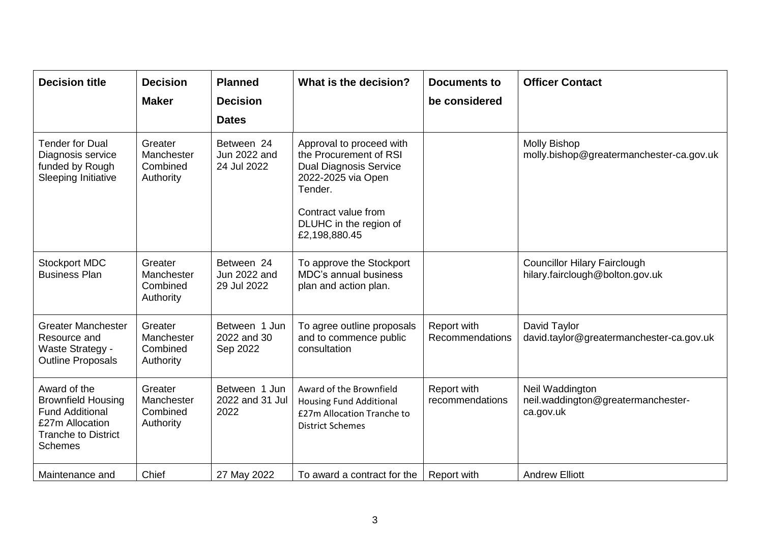| <b>Decision title</b>                                                                                                                  | <b>Decision</b><br><b>Maker</b>                | <b>Planned</b><br><b>Decision</b><br><b>Dates</b> | What is the decision?                                                                                                                                                                  | <b>Documents to</b><br>be considered | <b>Officer Contact</b>                                                 |
|----------------------------------------------------------------------------------------------------------------------------------------|------------------------------------------------|---------------------------------------------------|----------------------------------------------------------------------------------------------------------------------------------------------------------------------------------------|--------------------------------------|------------------------------------------------------------------------|
| <b>Tender for Dual</b><br>Diagnosis service<br>funded by Rough<br>Sleeping Initiative                                                  | Greater<br>Manchester<br>Combined<br>Authority | Between 24<br>Jun 2022 and<br>24 Jul 2022         | Approval to proceed with<br>the Procurement of RSI<br><b>Dual Diagnosis Service</b><br>2022-2025 via Open<br>Tender.<br>Contract value from<br>DLUHC in the region of<br>£2,198,880.45 |                                      | <b>Molly Bishop</b><br>molly.bishop@greatermanchester-ca.gov.uk        |
| <b>Stockport MDC</b><br><b>Business Plan</b>                                                                                           | Greater<br>Manchester<br>Combined<br>Authority | Between 24<br>Jun 2022 and<br>29 Jul 2022         | To approve the Stockport<br><b>MDC's annual business</b><br>plan and action plan.                                                                                                      |                                      | <b>Councillor Hilary Fairclough</b><br>hilary.fairclough@bolton.gov.uk |
| <b>Greater Manchester</b><br>Resource and<br>Waste Strategy -<br><b>Outline Proposals</b>                                              | Greater<br>Manchester<br>Combined<br>Authority | Between 1 Jun<br>2022 and 30<br>Sep 2022          | To agree outline proposals<br>and to commence public<br>consultation                                                                                                                   | Report with<br>Recommendations       | David Taylor<br>david.taylor@greatermanchester-ca.gov.uk               |
| Award of the<br><b>Brownfield Housing</b><br><b>Fund Additional</b><br>£27m Allocation<br><b>Tranche to District</b><br><b>Schemes</b> | Greater<br>Manchester<br>Combined<br>Authority | Between 1 Jun<br>2022 and 31 Jul<br>2022          | Award of the Brownfield<br><b>Housing Fund Additional</b><br>£27m Allocation Tranche to<br><b>District Schemes</b>                                                                     | Report with<br>recommendations       | Neil Waddington<br>neil.waddington@greatermanchester-<br>ca.gov.uk     |
| Maintenance and                                                                                                                        | Chief                                          | 27 May 2022                                       | To award a contract for the                                                                                                                                                            | Report with                          | <b>Andrew Elliott</b>                                                  |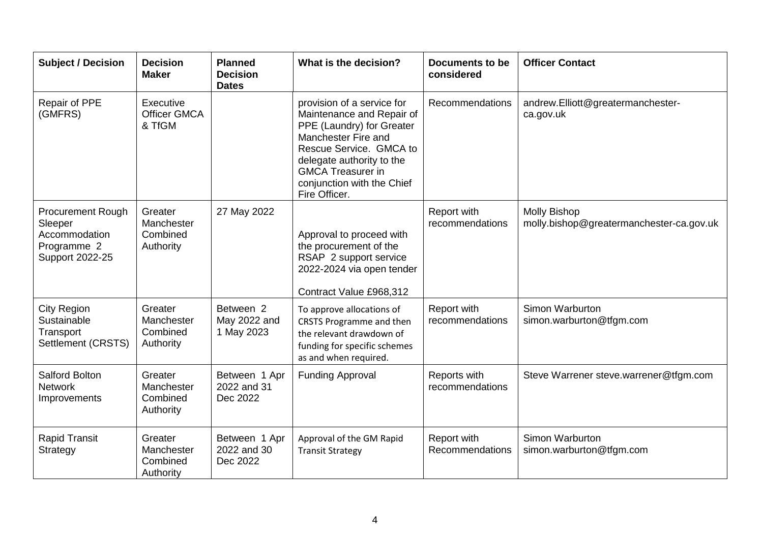| <b>Subject / Decision</b>                                                              | <b>Decision</b><br><b>Maker</b>                | <b>Planned</b><br><b>Decision</b><br><b>Dates</b> | What is the decision?                                                                                                                                                                                                                          | <b>Documents to be</b><br>considered | <b>Officer Contact</b>                                          |
|----------------------------------------------------------------------------------------|------------------------------------------------|---------------------------------------------------|------------------------------------------------------------------------------------------------------------------------------------------------------------------------------------------------------------------------------------------------|--------------------------------------|-----------------------------------------------------------------|
| Repair of PPE<br>(GMFRS)                                                               | Executive<br><b>Officer GMCA</b><br>& TfGM     |                                                   | provision of a service for<br>Maintenance and Repair of<br>PPE (Laundry) for Greater<br>Manchester Fire and<br>Rescue Service. GMCA to<br>delegate authority to the<br><b>GMCA Treasurer in</b><br>conjunction with the Chief<br>Fire Officer. | Recommendations                      | andrew.Elliott@greatermanchester-<br>ca.gov.uk                  |
| <b>Procurement Rough</b><br>Sleeper<br>Accommodation<br>Programme 2<br>Support 2022-25 | Greater<br>Manchester<br>Combined<br>Authority | 27 May 2022                                       | Approval to proceed with<br>the procurement of the<br>RSAP 2 support service<br>2022-2024 via open tender<br>Contract Value £968,312                                                                                                           | Report with<br>recommendations       | <b>Molly Bishop</b><br>molly.bishop@greatermanchester-ca.gov.uk |
| <b>City Region</b><br>Sustainable<br>Transport<br>Settlement (CRSTS)                   | Greater<br>Manchester<br>Combined<br>Authority | Between 2<br>May 2022 and<br>1 May 2023           | To approve allocations of<br><b>CRSTS Programme and then</b><br>the relevant drawdown of<br>funding for specific schemes<br>as and when required.                                                                                              | Report with<br>recommendations       | Simon Warburton<br>simon.warburton@tfgm.com                     |
| <b>Salford Bolton</b><br><b>Network</b><br>Improvements                                | Greater<br>Manchester<br>Combined<br>Authority | Between 1 Apr<br>2022 and 31<br>Dec 2022          | <b>Funding Approval</b>                                                                                                                                                                                                                        | Reports with<br>recommendations      | Steve Warrener steve.warrener@tfgm.com                          |
| <b>Rapid Transit</b><br>Strategy                                                       | Greater<br>Manchester<br>Combined<br>Authority | Between 1 Apr<br>2022 and 30<br>Dec 2022          | Approval of the GM Rapid<br><b>Transit Strategy</b>                                                                                                                                                                                            | Report with<br>Recommendations       | Simon Warburton<br>simon.warburton@tfgm.com                     |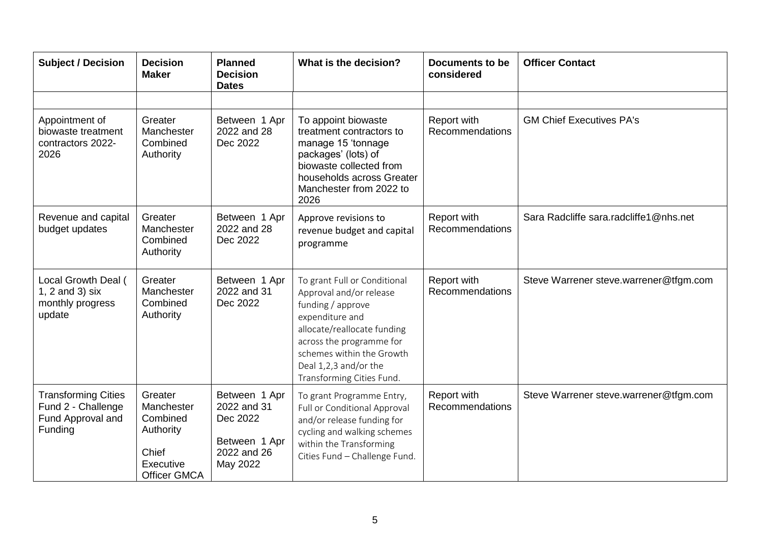| <b>Subject / Decision</b>                                                        | <b>Decision</b><br><b>Maker</b>                                                             | <b>Planned</b><br><b>Decision</b><br><b>Dates</b>                                    | What is the decision?                                                                                                                                                                                                                         | Documents to be<br>considered  | <b>Officer Contact</b>                 |
|----------------------------------------------------------------------------------|---------------------------------------------------------------------------------------------|--------------------------------------------------------------------------------------|-----------------------------------------------------------------------------------------------------------------------------------------------------------------------------------------------------------------------------------------------|--------------------------------|----------------------------------------|
|                                                                                  |                                                                                             |                                                                                      |                                                                                                                                                                                                                                               |                                |                                        |
| Appointment of<br>biowaste treatment<br>contractors 2022-<br>2026                | Greater<br>Manchester<br>Combined<br>Authority                                              | Between 1 Apr<br>2022 and 28<br>Dec 2022                                             | To appoint biowaste<br>treatment contractors to<br>manage 15 'tonnage<br>packages' (lots) of<br>biowaste collected from<br>households across Greater<br>Manchester from 2022 to<br>2026                                                       | Report with<br>Recommendations | <b>GM Chief Executives PA's</b>        |
| Revenue and capital<br>budget updates                                            | Greater<br>Manchester<br>Combined<br>Authority                                              | Between 1 Apr<br>2022 and 28<br>Dec 2022                                             | Approve revisions to<br>revenue budget and capital<br>programme                                                                                                                                                                               | Report with<br>Recommendations | Sara Radcliffe sara.radcliffe1@nhs.net |
| Local Growth Deal (<br>1, $2$ and $3)$ six<br>monthly progress<br>update         | Greater<br>Manchester<br>Combined<br>Authority                                              | Between 1 Apr<br>2022 and 31<br>Dec 2022                                             | To grant Full or Conditional<br>Approval and/or release<br>funding / approve<br>expenditure and<br>allocate/reallocate funding<br>across the programme for<br>schemes within the Growth<br>Deal 1,2,3 and/or the<br>Transforming Cities Fund. | Report with<br>Recommendations | Steve Warrener steve.warrener@tfgm.com |
| <b>Transforming Cities</b><br>Fund 2 - Challenge<br>Fund Approval and<br>Funding | Greater<br>Manchester<br>Combined<br>Authority<br>Chief<br>Executive<br><b>Officer GMCA</b> | Between 1 Apr<br>2022 and 31<br>Dec 2022<br>Between 1 Apr<br>2022 and 26<br>May 2022 | To grant Programme Entry,<br>Full or Conditional Approval<br>and/or release funding for<br>cycling and walking schemes<br>within the Transforming<br>Cities Fund - Challenge Fund.                                                            | Report with<br>Recommendations | Steve Warrener steve.warrener@tfgm.com |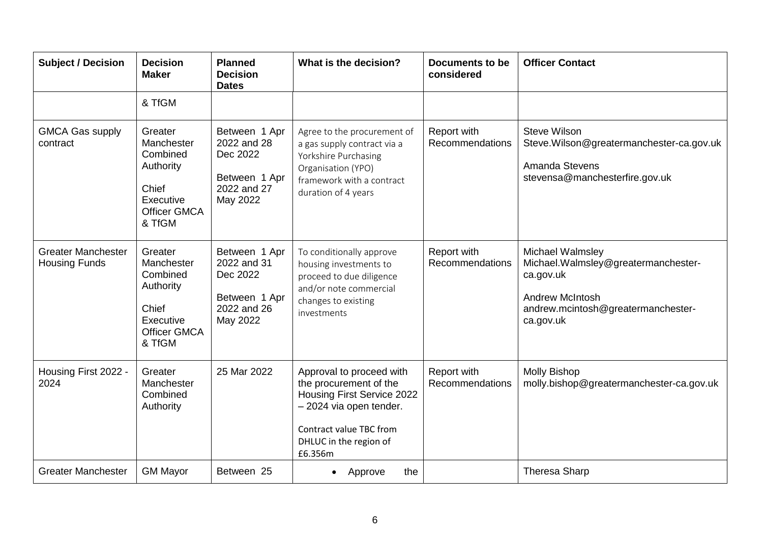| <b>Subject / Decision</b>                         | <b>Decision</b><br><b>Maker</b>                                                                       | <b>Planned</b><br><b>Decision</b><br><b>Dates</b>                                    | What is the decision?                                                                                                                                                              | <b>Documents to be</b><br>considered | <b>Officer Contact</b>                                                                                                                             |
|---------------------------------------------------|-------------------------------------------------------------------------------------------------------|--------------------------------------------------------------------------------------|------------------------------------------------------------------------------------------------------------------------------------------------------------------------------------|--------------------------------------|----------------------------------------------------------------------------------------------------------------------------------------------------|
|                                                   | & TfGM                                                                                                |                                                                                      |                                                                                                                                                                                    |                                      |                                                                                                                                                    |
| <b>GMCA Gas supply</b><br>contract                | Greater<br>Manchester<br>Combined<br>Authority<br>Chief<br>Executive<br><b>Officer GMCA</b><br>& TfGM | Between 1 Apr<br>2022 and 28<br>Dec 2022<br>Between 1 Apr<br>2022 and 27<br>May 2022 | Agree to the procurement of<br>a gas supply contract via a<br>Yorkshire Purchasing<br>Organisation (YPO)<br>framework with a contract<br>duration of 4 years                       | Report with<br>Recommendations       | <b>Steve Wilson</b><br>Steve.Wilson@greatermanchester-ca.gov.uk<br>Amanda Stevens<br>stevensa@manchesterfire.gov.uk                                |
| <b>Greater Manchester</b><br><b>Housing Funds</b> | Greater<br>Manchester<br>Combined<br>Authority<br>Chief<br>Executive<br><b>Officer GMCA</b><br>& TfGM | Between 1 Apr<br>2022 and 31<br>Dec 2022<br>Between 1 Apr<br>2022 and 26<br>May 2022 | To conditionally approve<br>housing investments to<br>proceed to due diligence<br>and/or note commercial<br>changes to existing<br>investments                                     | Report with<br>Recommendations       | Michael Walmsley<br>Michael. Walmsley@greatermanchester-<br>ca.gov.uk<br><b>Andrew McIntosh</b><br>andrew.mcintosh@greatermanchester-<br>ca.gov.uk |
| Housing First 2022 -<br>2024                      | Greater<br>Manchester<br>Combined<br>Authority                                                        | 25 Mar 2022                                                                          | Approval to proceed with<br>the procurement of the<br><b>Housing First Service 2022</b><br>- 2024 via open tender.<br>Contract value TBC from<br>DHLUC in the region of<br>£6.356m | Report with<br>Recommendations       | <b>Molly Bishop</b><br>molly.bishop@greatermanchester-ca.gov.uk                                                                                    |
| <b>Greater Manchester</b>                         | <b>GM Mayor</b>                                                                                       | Between 25                                                                           | the<br>Approve                                                                                                                                                                     |                                      | <b>Theresa Sharp</b>                                                                                                                               |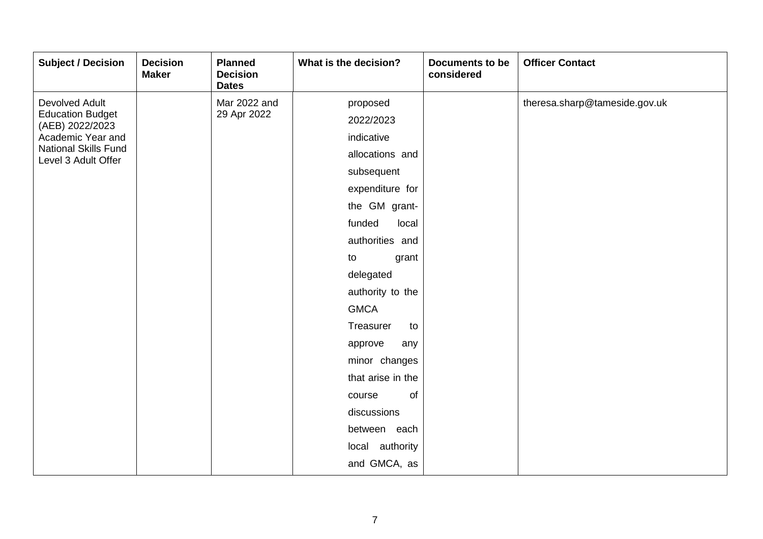| <b>Subject / Decision</b>                          | <b>Decision</b><br><b>Maker</b> | <b>Planned</b><br><b>Decision</b><br><b>Dates</b> | What is the decision? | <b>Documents to be</b><br>considered | <b>Officer Contact</b>        |
|----------------------------------------------------|---------------------------------|---------------------------------------------------|-----------------------|--------------------------------------|-------------------------------|
| <b>Devolved Adult</b>                              |                                 | Mar 2022 and                                      | proposed              |                                      | theresa.sharp@tameside.gov.uk |
| <b>Education Budget</b><br>(AEB) 2022/2023         |                                 | 29 Apr 2022                                       | 2022/2023             |                                      |                               |
| Academic Year and                                  |                                 |                                                   | indicative            |                                      |                               |
| <b>National Skills Fund</b><br>Level 3 Adult Offer |                                 |                                                   | allocations and       |                                      |                               |
|                                                    |                                 |                                                   | subsequent            |                                      |                               |
|                                                    |                                 |                                                   | expenditure for       |                                      |                               |
|                                                    |                                 |                                                   | the GM grant-         |                                      |                               |
|                                                    |                                 |                                                   | funded<br>local       |                                      |                               |
|                                                    |                                 |                                                   | authorities and       |                                      |                               |
|                                                    |                                 |                                                   | to<br>grant           |                                      |                               |
|                                                    |                                 |                                                   | delegated             |                                      |                               |
|                                                    |                                 |                                                   | authority to the      |                                      |                               |
|                                                    |                                 |                                                   | <b>GMCA</b>           |                                      |                               |
|                                                    |                                 |                                                   | Treasurer<br>to       |                                      |                               |
|                                                    |                                 |                                                   | approve<br>any        |                                      |                               |
|                                                    |                                 |                                                   | minor changes         |                                      |                               |
|                                                    |                                 |                                                   | that arise in the     |                                      |                               |
|                                                    |                                 |                                                   | of<br>course          |                                      |                               |
|                                                    |                                 |                                                   | discussions           |                                      |                               |
|                                                    |                                 |                                                   | between each          |                                      |                               |
|                                                    |                                 |                                                   | local authority       |                                      |                               |
|                                                    |                                 |                                                   | and GMCA, as          |                                      |                               |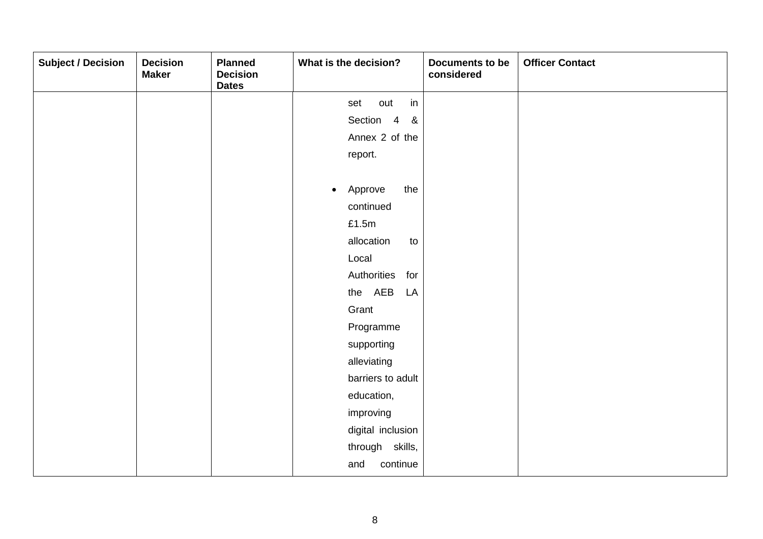| <b>Subject / Decision</b> | <b>Decision</b><br><b>Maker</b> | <b>Planned</b><br><b>Decision</b><br><b>Dates</b> | What is the decision?       | Documents to be<br>considered | <b>Officer Contact</b> |
|---------------------------|---------------------------------|---------------------------------------------------|-----------------------------|-------------------------------|------------------------|
|                           |                                 |                                                   | in<br>out<br>set            |                               |                        |
|                           |                                 |                                                   | Section 4 &                 |                               |                        |
|                           |                                 |                                                   | Annex 2 of the              |                               |                        |
|                           |                                 |                                                   | report.                     |                               |                        |
|                           |                                 |                                                   |                             |                               |                        |
|                           |                                 |                                                   | the<br>Approve<br>$\bullet$ |                               |                        |
|                           |                                 |                                                   | continued                   |                               |                        |
|                           |                                 |                                                   | £1.5m                       |                               |                        |
|                           |                                 |                                                   | allocation<br>to            |                               |                        |
|                           |                                 |                                                   | Local                       |                               |                        |
|                           |                                 |                                                   | Authorities for             |                               |                        |
|                           |                                 |                                                   | the AEB<br>LA               |                               |                        |
|                           |                                 |                                                   | Grant                       |                               |                        |
|                           |                                 |                                                   | Programme                   |                               |                        |
|                           |                                 |                                                   | supporting                  |                               |                        |
|                           |                                 |                                                   | alleviating                 |                               |                        |
|                           |                                 |                                                   | barriers to adult           |                               |                        |
|                           |                                 |                                                   | education,                  |                               |                        |
|                           |                                 |                                                   | improving                   |                               |                        |
|                           |                                 |                                                   | digital inclusion           |                               |                        |
|                           |                                 |                                                   | through skills,             |                               |                        |
|                           |                                 |                                                   | continue<br>and             |                               |                        |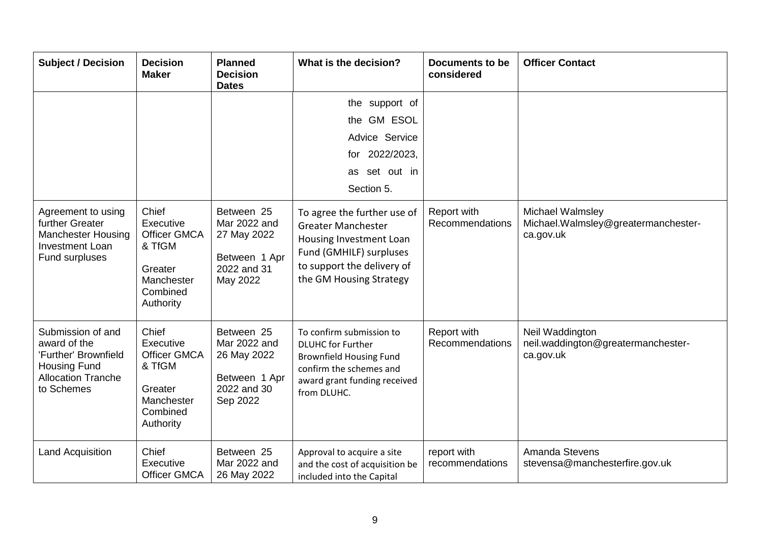| <b>Subject / Decision</b>                                                                                                   | <b>Decision</b><br><b>Maker</b>                                                                       | <b>Planned</b><br><b>Decision</b><br><b>Dates</b>                                     | What is the decision?                                                                                                                                                   | Documents to be<br>considered  | <b>Officer Contact</b>                                                |
|-----------------------------------------------------------------------------------------------------------------------------|-------------------------------------------------------------------------------------------------------|---------------------------------------------------------------------------------------|-------------------------------------------------------------------------------------------------------------------------------------------------------------------------|--------------------------------|-----------------------------------------------------------------------|
|                                                                                                                             |                                                                                                       |                                                                                       | the support of<br>the GM ESOL<br>Advice Service<br>for 2022/2023,<br>as set out in<br>Section 5.                                                                        |                                |                                                                       |
| Agreement to using<br>further Greater<br><b>Manchester Housing</b><br><b>Investment Loan</b><br>Fund surpluses              | Chief<br>Executive<br><b>Officer GMCA</b><br>& TfGM<br>Greater<br>Manchester<br>Combined<br>Authority | Between 25<br>Mar 2022 and<br>27 May 2022<br>Between 1 Apr<br>2022 and 31<br>May 2022 | To agree the further use of<br><b>Greater Manchester</b><br>Housing Investment Loan<br>Fund (GMHILF) surpluses<br>to support the delivery of<br>the GM Housing Strategy | Report with<br>Recommendations | Michael Walmsley<br>Michael. Walmsley@greatermanchester-<br>ca.gov.uk |
| Submission of and<br>award of the<br>'Further' Brownfield<br><b>Housing Fund</b><br><b>Allocation Tranche</b><br>to Schemes | Chief<br>Executive<br><b>Officer GMCA</b><br>& TfGM<br>Greater<br>Manchester<br>Combined<br>Authority | Between 25<br>Mar 2022 and<br>26 May 2022<br>Between 1 Apr<br>2022 and 30<br>Sep 2022 | To confirm submission to<br><b>DLUHC</b> for Further<br><b>Brownfield Housing Fund</b><br>confirm the schemes and<br>award grant funding received<br>from DLUHC.        | Report with<br>Recommendations | Neil Waddington<br>neil.waddington@greatermanchester-<br>ca.gov.uk    |
| <b>Land Acquisition</b>                                                                                                     | Chief<br>Executive<br><b>Officer GMCA</b>                                                             | Between 25<br>Mar 2022 and<br>26 May 2022                                             | Approval to acquire a site<br>and the cost of acquisition be<br>included into the Capital                                                                               | report with<br>recommendations | Amanda Stevens<br>stevensa@manchesterfire.gov.uk                      |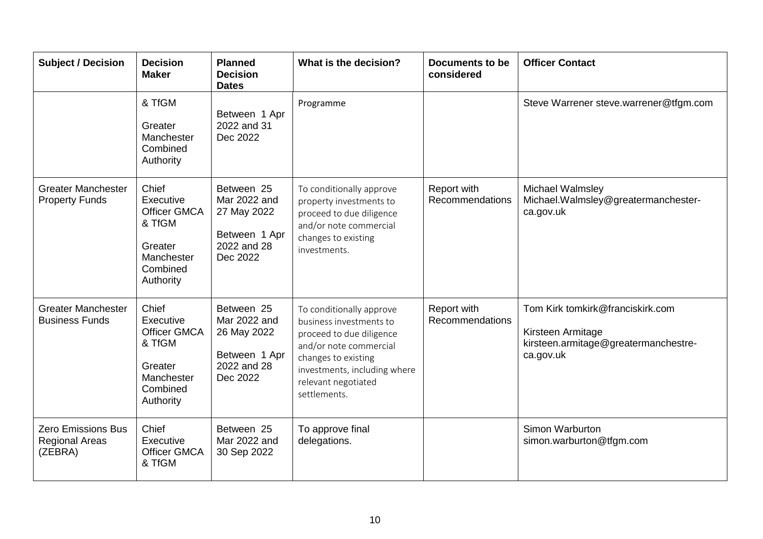| <b>Subject / Decision</b>                                     | <b>Decision</b><br><b>Maker</b>                                                                       | <b>Planned</b><br><b>Decision</b><br><b>Dates</b>                                     | What is the decision?                                                                                                                                                                                   | <b>Documents to be</b><br>considered | <b>Officer Contact</b>                                                                                     |
|---------------------------------------------------------------|-------------------------------------------------------------------------------------------------------|---------------------------------------------------------------------------------------|---------------------------------------------------------------------------------------------------------------------------------------------------------------------------------------------------------|--------------------------------------|------------------------------------------------------------------------------------------------------------|
|                                                               | & TfGM<br>Greater<br>Manchester<br>Combined<br>Authority                                              | Between 1 Apr<br>2022 and 31<br>Dec 2022                                              | Programme                                                                                                                                                                                               |                                      | Steve Warrener steve.warrener@tfgm.com                                                                     |
| <b>Greater Manchester</b><br><b>Property Funds</b>            | Chief<br>Executive<br><b>Officer GMCA</b><br>& TfGM<br>Greater<br>Manchester<br>Combined<br>Authority | Between 25<br>Mar 2022 and<br>27 May 2022<br>Between 1 Apr<br>2022 and 28<br>Dec 2022 | To conditionally approve<br>property investments to<br>proceed to due diligence<br>and/or note commercial<br>changes to existing<br>investments.                                                        | Report with<br>Recommendations       | Michael Walmsley<br>Michael.Walmsley@greatermanchester-<br>ca.gov.uk                                       |
| <b>Greater Manchester</b><br><b>Business Funds</b>            | Chief<br>Executive<br><b>Officer GMCA</b><br>& TfGM<br>Greater<br>Manchester<br>Combined<br>Authority | Between 25<br>Mar 2022 and<br>26 May 2022<br>Between 1 Apr<br>2022 and 28<br>Dec 2022 | To conditionally approve<br>business investments to<br>proceed to due diligence<br>and/or note commercial<br>changes to existing<br>investments, including where<br>relevant negotiated<br>settlements. | Report with<br>Recommendations       | Tom Kirk tomkirk@franciskirk.com<br>Kirsteen Armitage<br>kirsteen.armitage@greatermanchestre-<br>ca.gov.uk |
| <b>Zero Emissions Bus</b><br><b>Regional Areas</b><br>(ZEBRA) | Chief<br>Executive<br><b>Officer GMCA</b><br>& TfGM                                                   | Between 25<br>Mar 2022 and<br>30 Sep 2022                                             | To approve final<br>delegations.                                                                                                                                                                        |                                      | Simon Warburton<br>simon.warburton@tfgm.com                                                                |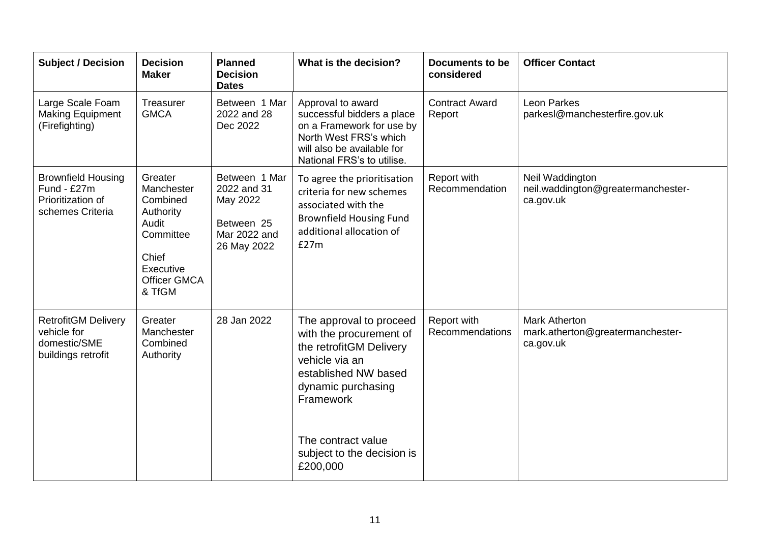| <b>Subject / Decision</b>                                                         | <b>Decision</b><br><b>Maker</b>                                                                                             | <b>Planned</b><br><b>Decision</b><br><b>Dates</b>                                     | What is the decision?                                                                                                                                                                                                      | Documents to be<br>considered   | <b>Officer Contact</b>                                                |
|-----------------------------------------------------------------------------------|-----------------------------------------------------------------------------------------------------------------------------|---------------------------------------------------------------------------------------|----------------------------------------------------------------------------------------------------------------------------------------------------------------------------------------------------------------------------|---------------------------------|-----------------------------------------------------------------------|
| Large Scale Foam<br><b>Making Equipment</b><br>(Firefighting)                     | Treasurer<br><b>GMCA</b>                                                                                                    | Between 1 Mar<br>2022 and 28<br>Dec 2022                                              | Approval to award<br>successful bidders a place<br>on a Framework for use by<br>North West FRS's which<br>will also be available for<br>National FRS's to utilise.                                                         | <b>Contract Award</b><br>Report | Leon Parkes<br>parkesl@manchesterfire.gov.uk                          |
| <b>Brownfield Housing</b><br>Fund - £27m<br>Prioritization of<br>schemes Criteria | Greater<br>Manchester<br>Combined<br>Authority<br>Audit<br>Committee<br>Chief<br>Executive<br><b>Officer GMCA</b><br>& TfGM | Between 1 Mar<br>2022 and 31<br>May 2022<br>Between 25<br>Mar 2022 and<br>26 May 2022 | To agree the prioritisation<br>criteria for new schemes<br>associated with the<br><b>Brownfield Housing Fund</b><br>additional allocation of<br>E27m                                                                       | Report with<br>Recommendation   | Neil Waddington<br>neil.waddington@greatermanchester-<br>ca.gov.uk    |
| <b>RetrofitGM Delivery</b><br>vehicle for<br>domestic/SME<br>buildings retrofit   | Greater<br>Manchester<br>Combined<br>Authority                                                                              | 28 Jan 2022                                                                           | The approval to proceed<br>with the procurement of<br>the retrofitGM Delivery<br>vehicle via an<br>established NW based<br>dynamic purchasing<br>Framework<br>The contract value<br>subject to the decision is<br>£200,000 | Report with<br>Recommendations  | <b>Mark Atherton</b><br>mark.atherton@greatermanchester-<br>ca.gov.uk |